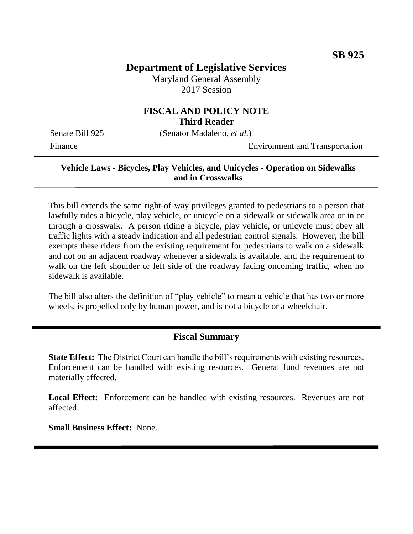# **Department of Legislative Services**

Maryland General Assembly 2017 Session

## **FISCAL AND POLICY NOTE Third Reader**

Senate Bill 925 (Senator Madaleno, *et al.*)

Finance Environment and Transportation

#### **Vehicle Laws - Bicycles, Play Vehicles, and Unicycles - Operation on Sidewalks and in Crosswalks**

This bill extends the same right-of-way privileges granted to pedestrians to a person that lawfully rides a bicycle, play vehicle, or unicycle on a sidewalk or sidewalk area or in or through a crosswalk. A person riding a bicycle, play vehicle, or unicycle must obey all traffic lights with a steady indication and all pedestrian control signals. However, the bill exempts these riders from the existing requirement for pedestrians to walk on a sidewalk and not on an adjacent roadway whenever a sidewalk is available, and the requirement to walk on the left shoulder or left side of the roadway facing oncoming traffic, when no sidewalk is available.

The bill also alters the definition of "play vehicle" to mean a vehicle that has two or more wheels, is propelled only by human power, and is not a bicycle or a wheelchair.

#### **Fiscal Summary**

**State Effect:** The District Court can handle the bill's requirements with existing resources. Enforcement can be handled with existing resources. General fund revenues are not materially affected.

Local Effect: Enforcement can be handled with existing resources. Revenues are not affected.

**Small Business Effect:** None.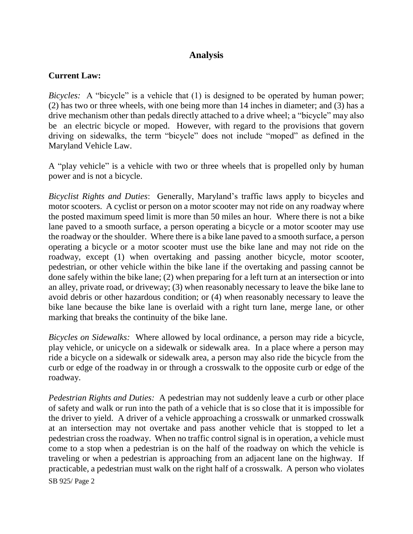# **Analysis**

#### **Current Law:**

*Bicycles:* A "bicycle" is a vehicle that (1) is designed to be operated by human power; (2) has two or three wheels, with one being more than 14 inches in diameter; and (3) has a drive mechanism other than pedals directly attached to a drive wheel; a "bicycle" may also be an electric bicycle or moped. However, with regard to the provisions that govern driving on sidewalks, the term "bicycle" does not include "moped" as defined in the Maryland Vehicle Law.

A "play vehicle" is a vehicle with two or three wheels that is propelled only by human power and is not a bicycle.

*Bicyclist Rights and Duties*: Generally, Maryland's traffic laws apply to bicycles and motor scooters. A cyclist or person on a motor scooter may not ride on any roadway where the posted maximum speed limit is more than 50 miles an hour. Where there is not a bike lane paved to a smooth surface, a person operating a bicycle or a motor scooter may use the roadway or the shoulder. Where there is a bike lane paved to a smooth surface, a person operating a bicycle or a motor scooter must use the bike lane and may not ride on the roadway, except (1) when overtaking and passing another bicycle, motor scooter, pedestrian, or other vehicle within the bike lane if the overtaking and passing cannot be done safely within the bike lane; (2) when preparing for a left turn at an intersection or into an alley, private road, or driveway; (3) when reasonably necessary to leave the bike lane to avoid debris or other hazardous condition; or (4) when reasonably necessary to leave the bike lane because the bike lane is overlaid with a right turn lane, merge lane, or other marking that breaks the continuity of the bike lane.

*Bicycles on Sidewalks:* Where allowed by local ordinance, a person may ride a bicycle, play vehicle, or unicycle on a sidewalk or sidewalk area. In a place where a person may ride a bicycle on a sidewalk or sidewalk area, a person may also ride the bicycle from the curb or edge of the roadway in or through a crosswalk to the opposite curb or edge of the roadway.

SB 925/ Page 2 *Pedestrian Rights and Duties:* A pedestrian may not suddenly leave a curb or other place of safety and walk or run into the path of a vehicle that is so close that it is impossible for the driver to yield. A driver of a vehicle approaching a crosswalk or unmarked crosswalk at an intersection may not overtake and pass another vehicle that is stopped to let a pedestrian cross the roadway. When no traffic control signal is in operation, a vehicle must come to a stop when a pedestrian is on the half of the roadway on which the vehicle is traveling or when a pedestrian is approaching from an adjacent lane on the highway. If practicable, a pedestrian must walk on the right half of a crosswalk. A person who violates